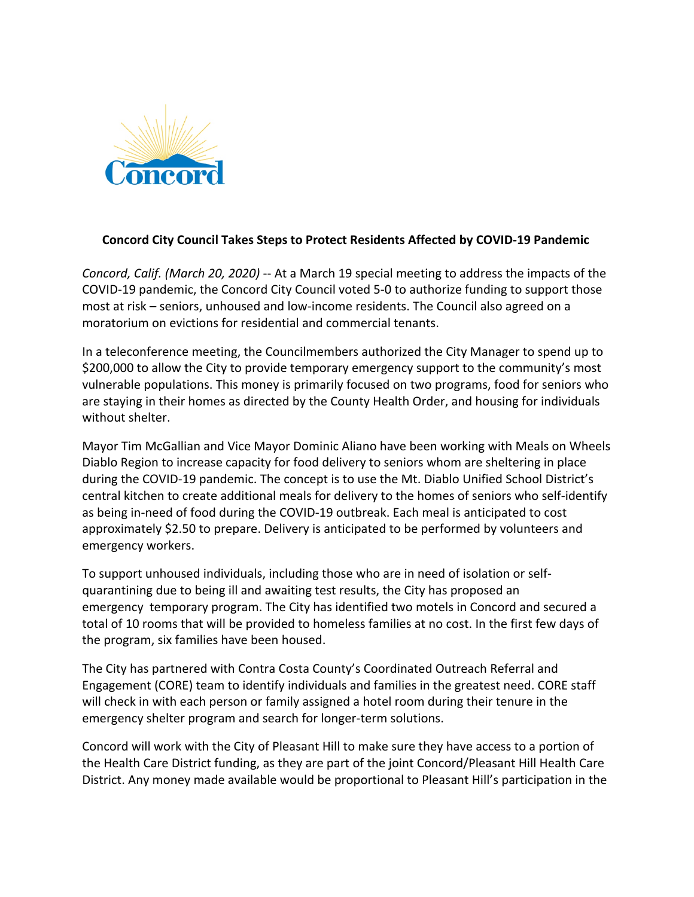

## **Concord City Council Takes Steps to Protect Residents Affected by COVID-19 Pandemic**

*Concord, Calif. (March 20, 2020)* -- At a March 19 special meeting to address the impacts of the COVID-19 pandemic, the Concord City Council voted 5-0 to authorize funding to support those most at risk – seniors, unhoused and low-income residents. The Council also agreed on a moratorium on evictions for residential and commercial tenants.

In a teleconference meeting, the Councilmembers authorized the City Manager to spend up to \$200,000 to allow the City to provide temporary emergency support to the community's most vulnerable populations. This money is primarily focused on two programs, food for seniors who are staying in their homes as directed by the County Health Order, and housing for individuals without shelter.

Mayor Tim McGallian and Vice Mayor Dominic Aliano have been working with Meals on Wheels Diablo Region to increase capacity for food delivery to seniors whom are sheltering in place during the COVID-19 pandemic. The concept is to use the Mt. Diablo Unified School District's central kitchen to create additional meals for delivery to the homes of seniors who self-identify as being in-need of food during the COVID-19 outbreak. Each meal is anticipated to cost approximately \$2.50 to prepare. Delivery is anticipated to be performed by volunteers and emergency workers.

To support unhoused individuals, including those who are in need of isolation or selfquarantining due to being ill and awaiting test results, the City has proposed an emergency temporary program. The City has identified two motels in Concord and secured a total of 10 rooms that will be provided to homeless families at no cost. In the first few days of the program, six families have been housed.

The City has partnered with Contra Costa County's Coordinated Outreach Referral and Engagement (CORE) team to identify individuals and families in the greatest need. CORE staff will check in with each person or family assigned a hotel room during their tenure in the emergency shelter program and search for longer-term solutions.

Concord will work with the City of Pleasant Hill to make sure they have access to a portion of the Health Care District funding, as they are part of the joint Concord/Pleasant Hill Health Care District. Any money made available would be proportional to Pleasant Hill's participation in the